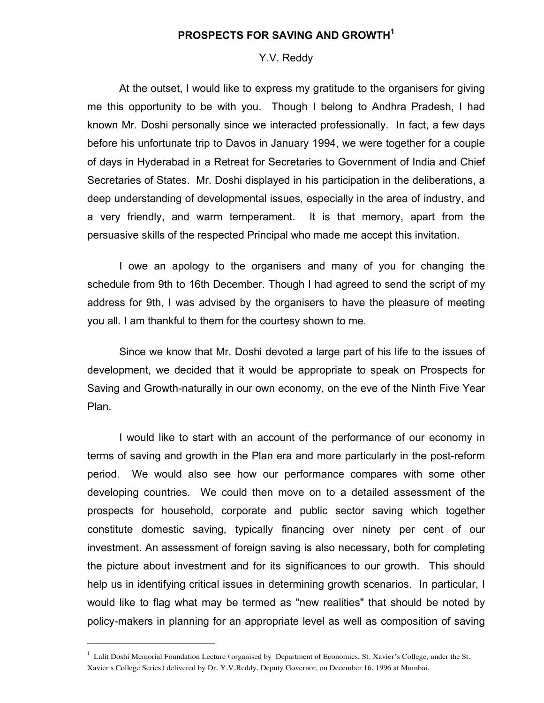# PROSPECTS FOR SAVING AND GROWTH<sup>1</sup>

#### Y.V. Reddy

At the outset, I would like to express my gratitude to the organisers for giving me this opportunity to be with you. Though I belong to Andhra Pradesh, I had known Mr. Doshi personally since we interacted professionally. In fact, a few days before his unfortunate trip to Davos in January 1994, we were together for a couple of days in Hyderabad in a Retreat for Secretaries to Government of India and Chief Secretaries of States. Mr. Doshi displayed in his participation in the deliberations, a deep understanding of developmental issues, especially in the area of industry, and a very friendly, and warm temperament. It is that memory, apart from the persuasive skills of the respected Principal who made me accept this invitation.

I owe an apology to the organisers and many of you for changing the schedule from 9th to 16th December. Though I had agreed to send the script of my address for 9th, I was advised by the organisers to have the pleasure of meeting you all. I am thankful to them for the courtesy shown to me.

Since we know that Mr. Doshi devoted a large part of his life to the issues of development, we decided that it would be appropriate to speak on Prospects for Saving and Growth-naturally in our own economy, on the eve of the Ninth Five Year Plan.

I would like to start with an account of the performance of our economy in terms of saving and growth in the Plan era and more particularly in the post-reform period. We would also see how our performance compares with some other developing countries. We could then move on to a detailed assessment of the prospects for household, corporate and public sector saving which together constitute domestic saving, typically financing over ninety per cent of our investment. An assessment of foreign saving is also necessary, both for completing the picture about investment and for its significances to our growth. This should help us in identifying critical issues in determining growth scenarios. In particular, I would like to flag what may be termed as "new realities" that should be noted by policy-makers in planning for an appropriate level as well as composition of saving

<sup>&</sup>lt;sup>1</sup> Lalit Doshi Memorial Foundation Lecture (organised by Department of Economics, St. Xavier's College, under the St. Xavier s College Series) delivered by Dr. Y.V.Reddy, Deputy Governor, on December 16, 1996 at Mumbai.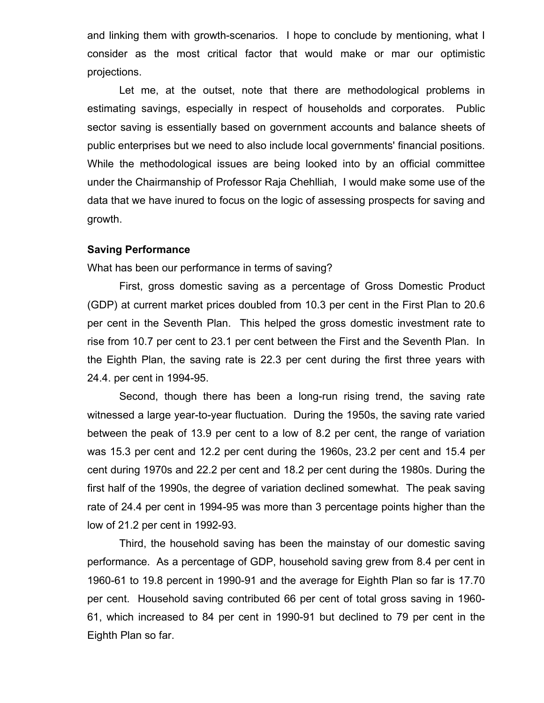and linking them with growth-scenarios. I hope to conclude by mentioning, what I consider as the most critical factor that would make or mar our optimistic projections.

Let me, at the outset, note that there are methodological problems in estimating savings, especially in respect of households and corporates. Public sector saving is essentially based on government accounts and balance sheets of public enterprises but we need to also include local governments' financial positions. While the methodological issues are being looked into by an official committee under the Chairmanship of Professor Raja Chehlliah, I would make some use of the data that we have inured to focus on the logic of assessing prospects for saving and growth.

## Saving Performance

What has been our performance in terms of saving?

First, gross domestic saving as a percentage of Gross Domestic Product (GDP) at current market prices doubled from 10.3 per cent in the First Plan to 20.6 per cent in the Seventh Plan. This helped the gross domestic investment rate to rise from 10.7 per cent to 23.1 per cent between the First and the Seventh Plan. In the Eighth Plan, the saving rate is 22.3 per cent during the first three years with 24.4. per cent in 1994-95.

Second, though there has been a long-run rising trend, the saving rate witnessed a large year-to-year fluctuation. During the 1950s, the saving rate varied between the peak of 13.9 per cent to a low of 8.2 per cent, the range of variation was 15.3 per cent and 12.2 per cent during the 1960s, 23.2 per cent and 15.4 per cent during 1970s and 22.2 per cent and 18.2 per cent during the 1980s. During the first half of the 1990s, the degree of variation declined somewhat. The peak saving rate of 24.4 per cent in 1994-95 was more than 3 percentage points higher than the low of 21.2 per cent in 1992-93.

Third, the household saving has been the mainstay of our domestic saving performance. As a percentage of GDP, household saving grew from 8.4 per cent in 1960-61 to 19.8 percent in 1990-91 and the average for Eighth Plan so far is 17.70 per cent. Household saving contributed 66 per cent of total gross saving in 1960- 61, which increased to 84 per cent in 1990-91 but declined to 79 per cent in the Eighth Plan so far.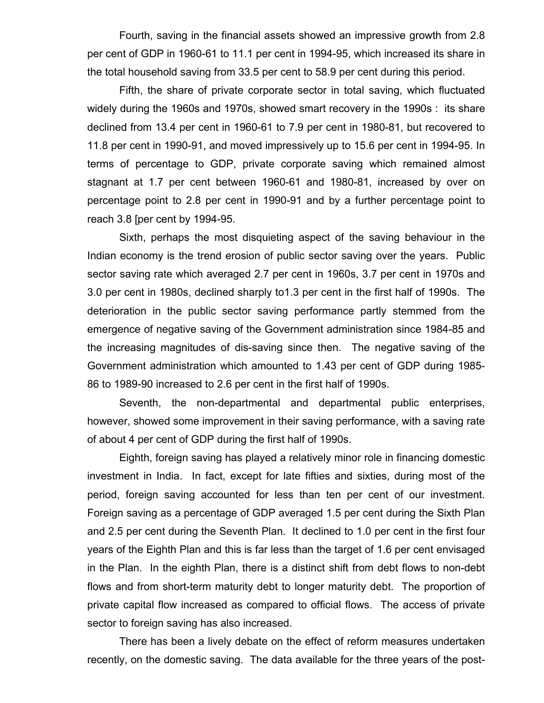Fourth, saving in the financial assets showed an impressive growth from 2.8 per cent of GDP in 1960-61 to 11.1 per cent in 1994-95, which increased its share in the total household saving from 33.5 per cent to 58.9 per cent during this period.

Fifth, the share of private corporate sector in total saving, which fluctuated widely during the 1960s and 1970s, showed smart recovery in the 1990s : its share declined from 13.4 per cent in 1960-61 to 7.9 per cent in 1980-81, but recovered to 11.8 per cent in 1990-91, and moved impressively up to 15.6 per cent in 1994-95. In terms of percentage to GDP, private corporate saving which remained almost stagnant at 1.7 per cent between 1960-61 and 1980-81, increased by over on percentage point to 2.8 per cent in 1990-91 and by a further percentage point to reach 3.8 [per cent by 1994-95.

Sixth, perhaps the most disquieting aspect of the saving behaviour in the Indian economy is the trend erosion of public sector saving over the years. Public sector saving rate which averaged 2.7 per cent in 1960s, 3.7 per cent in 1970s and 3.0 per cent in 1980s, declined sharply to1.3 per cent in the first half of 1990s. The deterioration in the public sector saving performance partly stemmed from the emergence of negative saving of the Government administration since 1984-85 and the increasing magnitudes of dis-saving since then. The negative saving of the Government administration which amounted to 1.43 per cent of GDP during 1985- 86 to 1989-90 increased to 2.6 per cent in the first half of 1990s.

Seventh, the non-departmental and departmental public enterprises, however, showed some improvement in their saving performance, with a saving rate of about 4 per cent of GDP during the first half of 1990s.

Eighth, foreign saving has played a relatively minor role in financing domestic investment in India. In fact, except for late fifties and sixties, during most of the period, foreign saving accounted for less than ten per cent of our investment. Foreign saving as a percentage of GDP averaged 1.5 per cent during the Sixth Plan and 2.5 per cent during the Seventh Plan. It declined to 1.0 per cent in the first four years of the Eighth Plan and this is far less than the target of 1.6 per cent envisaged in the Plan. In the eighth Plan, there is a distinct shift from debt flows to non-debt flows and from short-term maturity debt to longer maturity debt. The proportion of private capital flow increased as compared to official flows. The access of private sector to foreign saving has also increased.

There has been a lively debate on the effect of reform measures undertaken recently, on the domestic saving. The data available for the three years of the post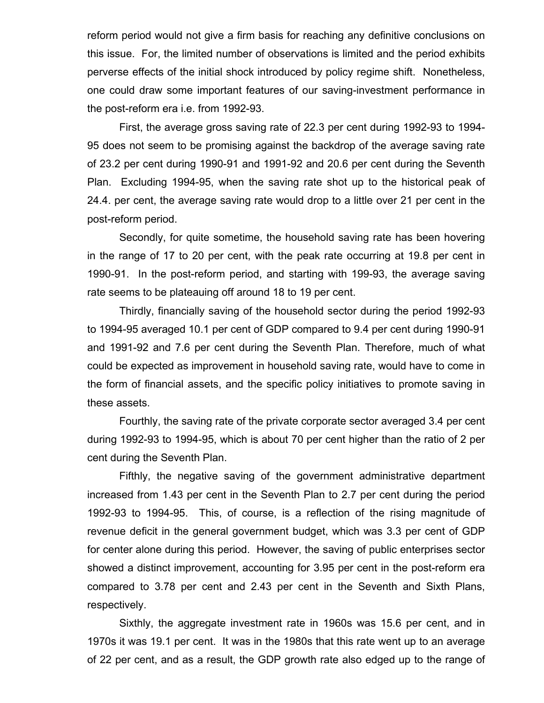reform period would not give a firm basis for reaching any definitive conclusions on this issue. For, the limited number of observations is limited and the period exhibits perverse effects of the initial shock introduced by policy regime shift. Nonetheless, one could draw some important features of our saving-investment performance in the post-reform era i.e. from 1992-93.

First, the average gross saving rate of 22.3 per cent during 1992-93 to 1994- 95 does not seem to be promising against the backdrop of the average saving rate of 23.2 per cent during 1990-91 and 1991-92 and 20.6 per cent during the Seventh Plan. Excluding 1994-95, when the saving rate shot up to the historical peak of 24.4. per cent, the average saving rate would drop to a little over 21 per cent in the post-reform period.

Secondly, for quite sometime, the household saving rate has been hovering in the range of 17 to 20 per cent, with the peak rate occurring at 19.8 per cent in 1990-91. In the post-reform period, and starting with 199-93, the average saving rate seems to be plateauing off around 18 to 19 per cent.

Thirdly, financially saving of the household sector during the period 1992-93 to 1994-95 averaged 10.1 per cent of GDP compared to 9.4 per cent during 1990-91 and 1991-92 and 7.6 per cent during the Seventh Plan. Therefore, much of what could be expected as improvement in household saving rate, would have to come in the form of financial assets, and the specific policy initiatives to promote saving in these assets.

Fourthly, the saving rate of the private corporate sector averaged 3.4 per cent during 1992-93 to 1994-95, which is about 70 per cent higher than the ratio of 2 per cent during the Seventh Plan.

Fifthly, the negative saving of the government administrative department increased from 1.43 per cent in the Seventh Plan to 2.7 per cent during the period 1992-93 to 1994-95. This, of course, is a reflection of the rising magnitude of revenue deficit in the general government budget, which was 3.3 per cent of GDP for center alone during this period. However, the saving of public enterprises sector showed a distinct improvement, accounting for 3.95 per cent in the post-reform era compared to 3.78 per cent and 2.43 per cent in the Seventh and Sixth Plans, respectively.

Sixthly, the aggregate investment rate in 1960s was 15.6 per cent, and in 1970s it was 19.1 per cent. It was in the 1980s that this rate went up to an average of 22 per cent, and as a result, the GDP growth rate also edged up to the range of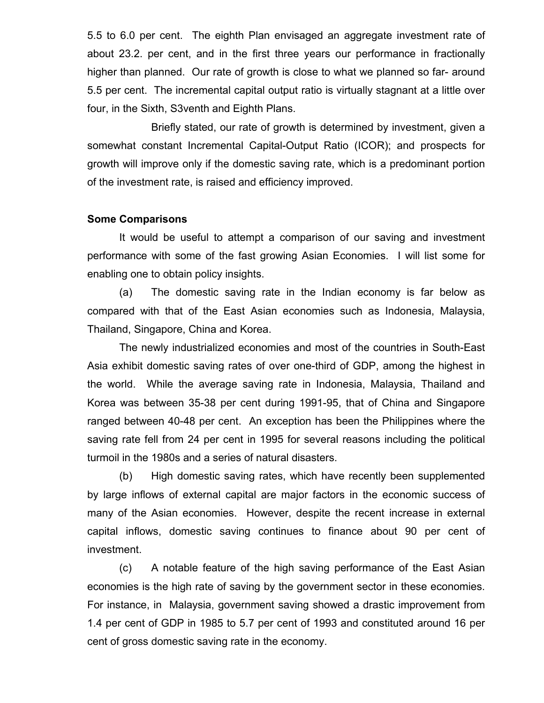5.5 to 6.0 per cent. The eighth Plan envisaged an aggregate investment rate of about 23.2. per cent, and in the first three years our performance in fractionally higher than planned. Our rate of growth is close to what we planned so far- around 5.5 per cent. The incremental capital output ratio is virtually stagnant at a little over four, in the Sixth, S3venth and Eighth Plans.

Briefly stated, our rate of growth is determined by investment, given a somewhat constant Incremental Capital-Output Ratio (ICOR); and prospects for growth will improve only if the domestic saving rate, which is a predominant portion of the investment rate, is raised and efficiency improved.

# Some Comparisons

It would be useful to attempt a comparison of our saving and investment performance with some of the fast growing Asian Economies. I will list some for enabling one to obtain policy insights.

(a) The domestic saving rate in the Indian economy is far below as compared with that of the East Asian economies such as Indonesia, Malaysia, Thailand, Singapore, China and Korea.

The newly industrialized economies and most of the countries in South-East Asia exhibit domestic saving rates of over one-third of GDP, among the highest in the world. While the average saving rate in Indonesia, Malaysia, Thailand and Korea was between 35-38 per cent during 1991-95, that of China and Singapore ranged between 40-48 per cent. An exception has been the Philippines where the saving rate fell from 24 per cent in 1995 for several reasons including the political turmoil in the 1980s and a series of natural disasters.

(b) High domestic saving rates, which have recently been supplemented by large inflows of external capital are major factors in the economic success of many of the Asian economies. However, despite the recent increase in external capital inflows, domestic saving continues to finance about 90 per cent of investment.

(c) A notable feature of the high saving performance of the East Asian economies is the high rate of saving by the government sector in these economies. For instance, in Malaysia, government saving showed a drastic improvement from 1.4 per cent of GDP in 1985 to 5.7 per cent of 1993 and constituted around 16 per cent of gross domestic saving rate in the economy.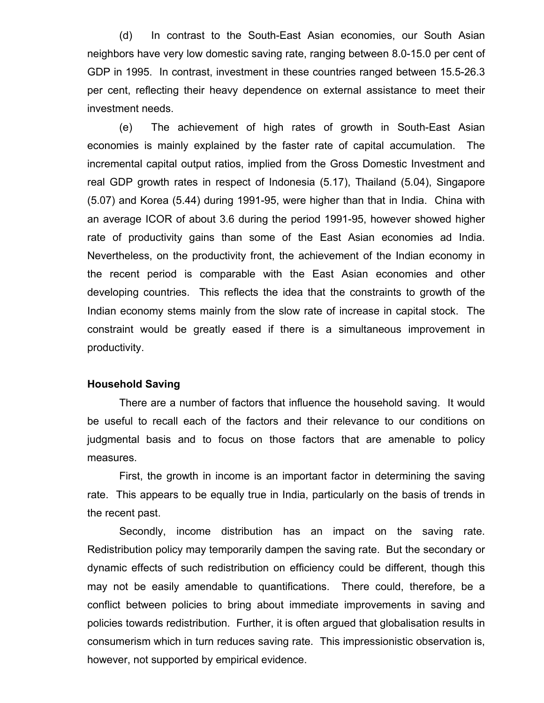(d) In contrast to the South-East Asian economies, our South Asian neighbors have very low domestic saving rate, ranging between 8.0-15.0 per cent of GDP in 1995. In contrast, investment in these countries ranged between 15.5-26.3 per cent, reflecting their heavy dependence on external assistance to meet their investment needs.

(e) The achievement of high rates of growth in South-East Asian economies is mainly explained by the faster rate of capital accumulation. The incremental capital output ratios, implied from the Gross Domestic Investment and real GDP growth rates in respect of Indonesia (5.17), Thailand (5.04), Singapore (5.07) and Korea (5.44) during 1991-95, were higher than that in India. China with an average ICOR of about 3.6 during the period 1991-95, however showed higher rate of productivity gains than some of the East Asian economies ad India. Nevertheless, on the productivity front, the achievement of the Indian economy in the recent period is comparable with the East Asian economies and other developing countries. This reflects the idea that the constraints to growth of the Indian economy stems mainly from the slow rate of increase in capital stock. The constraint would be greatly eased if there is a simultaneous improvement in productivity.

### Household Saving

There are a number of factors that influence the household saving. It would be useful to recall each of the factors and their relevance to our conditions on judgmental basis and to focus on those factors that are amenable to policy measures.

First, the growth in income is an important factor in determining the saving rate. This appears to be equally true in India, particularly on the basis of trends in the recent past.

Secondly, income distribution has an impact on the saving rate. Redistribution policy may temporarily dampen the saving rate. But the secondary or dynamic effects of such redistribution on efficiency could be different, though this may not be easily amendable to quantifications. There could, therefore, be a conflict between policies to bring about immediate improvements in saving and policies towards redistribution. Further, it is often argued that globalisation results in consumerism which in turn reduces saving rate. This impressionistic observation is, however, not supported by empirical evidence.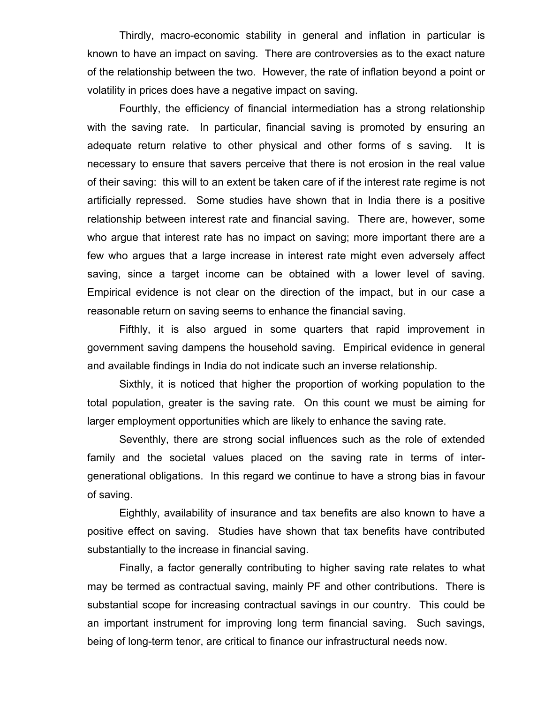Thirdly, macro-economic stability in general and inflation in particular is known to have an impact on saving. There are controversies as to the exact nature of the relationship between the two. However, the rate of inflation beyond a point or volatility in prices does have a negative impact on saving.

Fourthly, the efficiency of financial intermediation has a strong relationship with the saving rate. In particular, financial saving is promoted by ensuring an adequate return relative to other physical and other forms of s saving. It is necessary to ensure that savers perceive that there is not erosion in the real value of their saving: this will to an extent be taken care of if the interest rate regime is not artificially repressed. Some studies have shown that in India there is a positive relationship between interest rate and financial saving. There are, however, some who argue that interest rate has no impact on saving; more important there are a few who argues that a large increase in interest rate might even adversely affect saving, since a target income can be obtained with a lower level of saving. Empirical evidence is not clear on the direction of the impact, but in our case a reasonable return on saving seems to enhance the financial saving.

Fifthly, it is also argued in some quarters that rapid improvement in government saving dampens the household saving. Empirical evidence in general and available findings in India do not indicate such an inverse relationship.

Sixthly, it is noticed that higher the proportion of working population to the total population, greater is the saving rate. On this count we must be aiming for larger employment opportunities which are likely to enhance the saving rate.

Seventhly, there are strong social influences such as the role of extended family and the societal values placed on the saving rate in terms of intergenerational obligations. In this regard we continue to have a strong bias in favour of saving.

Eighthly, availability of insurance and tax benefits are also known to have a positive effect on saving. Studies have shown that tax benefits have contributed substantially to the increase in financial saving.

Finally, a factor generally contributing to higher saving rate relates to what may be termed as contractual saving, mainly PF and other contributions. There is substantial scope for increasing contractual savings in our country. This could be an important instrument for improving long term financial saving. Such savings, being of long-term tenor, are critical to finance our infrastructural needs now.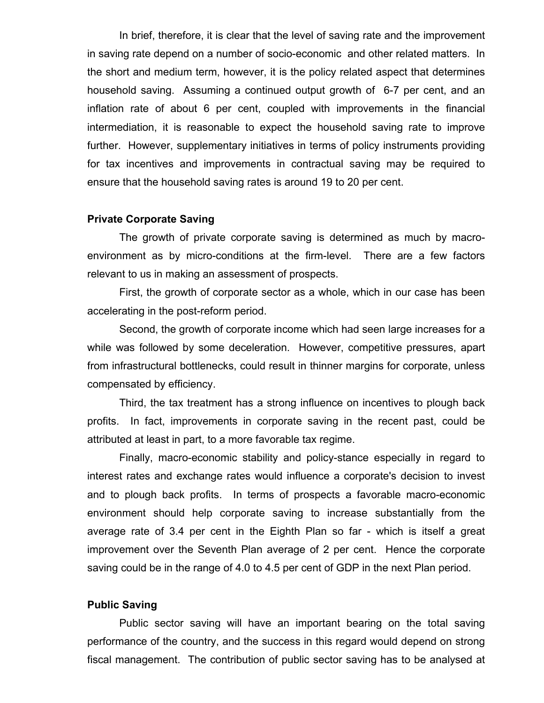In brief, therefore, it is clear that the level of saving rate and the improvement in saving rate depend on a number of socio-economic and other related matters. In the short and medium term, however, it is the policy related aspect that determines household saving. Assuming a continued output growth of 6-7 per cent, and an inflation rate of about 6 per cent, coupled with improvements in the financial intermediation, it is reasonable to expect the household saving rate to improve further. However, supplementary initiatives in terms of policy instruments providing for tax incentives and improvements in contractual saving may be required to ensure that the household saving rates is around 19 to 20 per cent.

# Private Corporate Saving

The growth of private corporate saving is determined as much by macroenvironment as by micro-conditions at the firm-level. There are a few factors relevant to us in making an assessment of prospects.

First, the growth of corporate sector as a whole, which in our case has been accelerating in the post-reform period.

Second, the growth of corporate income which had seen large increases for a while was followed by some deceleration. However, competitive pressures, apart from infrastructural bottlenecks, could result in thinner margins for corporate, unless compensated by efficiency.

Third, the tax treatment has a strong influence on incentives to plough back profits. In fact, improvements in corporate saving in the recent past, could be attributed at least in part, to a more favorable tax regime.

Finally, macro-economic stability and policy-stance especially in regard to interest rates and exchange rates would influence a corporate's decision to invest and to plough back profits. In terms of prospects a favorable macro-economic environment should help corporate saving to increase substantially from the average rate of 3.4 per cent in the Eighth Plan so far - which is itself a great improvement over the Seventh Plan average of 2 per cent. Hence the corporate saving could be in the range of 4.0 to 4.5 per cent of GDP in the next Plan period.

#### Public Saving

Public sector saving will have an important bearing on the total saving performance of the country, and the success in this regard would depend on strong fiscal management. The contribution of public sector saving has to be analysed at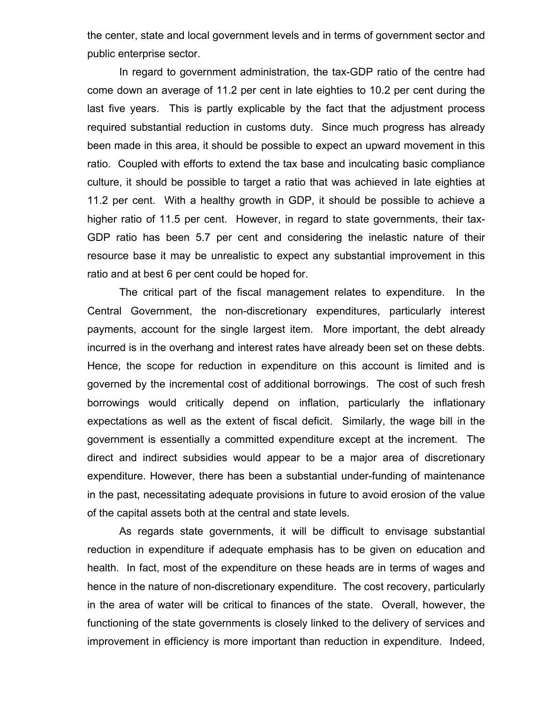the center, state and local government levels and in terms of government sector and public enterprise sector.

In regard to government administration, the tax-GDP ratio of the centre had come down an average of 11.2 per cent in late eighties to 10.2 per cent during the last five years. This is partly explicable by the fact that the adjustment process required substantial reduction in customs duty. Since much progress has already been made in this area, it should be possible to expect an upward movement in this ratio. Coupled with efforts to extend the tax base and inculcating basic compliance culture, it should be possible to target a ratio that was achieved in late eighties at 11.2 per cent. With a healthy growth in GDP, it should be possible to achieve a higher ratio of 11.5 per cent. However, in regard to state governments, their tax-GDP ratio has been 5.7 per cent and considering the inelastic nature of their resource base it may be unrealistic to expect any substantial improvement in this ratio and at best 6 per cent could be hoped for.

The critical part of the fiscal management relates to expenditure. In the Central Government, the non-discretionary expenditures, particularly interest payments, account for the single largest item. More important, the debt already incurred is in the overhang and interest rates have already been set on these debts. Hence, the scope for reduction in expenditure on this account is limited and is governed by the incremental cost of additional borrowings. The cost of such fresh borrowings would critically depend on inflation, particularly the inflationary expectations as well as the extent of fiscal deficit. Similarly, the wage bill in the government is essentially a committed expenditure except at the increment. The direct and indirect subsidies would appear to be a major area of discretionary expenditure. However, there has been a substantial under-funding of maintenance in the past, necessitating adequate provisions in future to avoid erosion of the value of the capital assets both at the central and state levels.

As regards state governments, it will be difficult to envisage substantial reduction in expenditure if adequate emphasis has to be given on education and health. In fact, most of the expenditure on these heads are in terms of wages and hence in the nature of non-discretionary expenditure. The cost recovery, particularly in the area of water will be critical to finances of the state. Overall, however, the functioning of the state governments is closely linked to the delivery of services and improvement in efficiency is more important than reduction in expenditure. Indeed,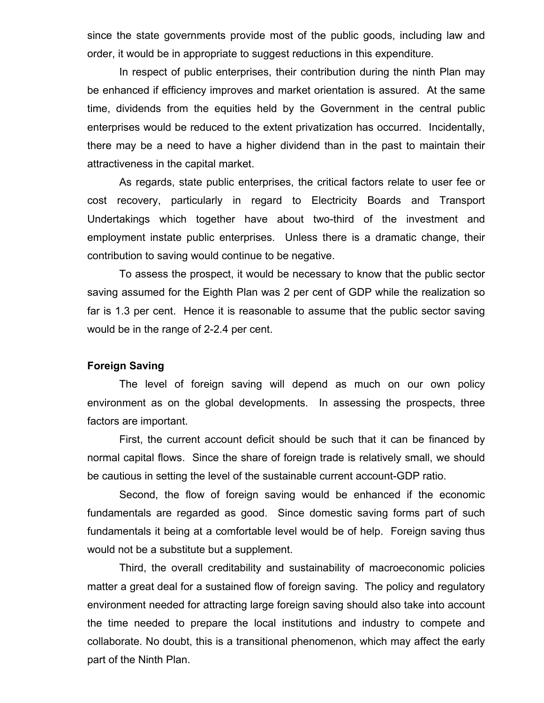since the state governments provide most of the public goods, including law and order, it would be in appropriate to suggest reductions in this expenditure.

In respect of public enterprises, their contribution during the ninth Plan may be enhanced if efficiency improves and market orientation is assured. At the same time, dividends from the equities held by the Government in the central public enterprises would be reduced to the extent privatization has occurred. Incidentally, there may be a need to have a higher dividend than in the past to maintain their attractiveness in the capital market.

As regards, state public enterprises, the critical factors relate to user fee or cost recovery, particularly in regard to Electricity Boards and Transport Undertakings which together have about two-third of the investment and employment instate public enterprises. Unless there is a dramatic change, their contribution to saving would continue to be negative.

To assess the prospect, it would be necessary to know that the public sector saving assumed for the Eighth Plan was 2 per cent of GDP while the realization so far is 1.3 per cent. Hence it is reasonable to assume that the public sector saving would be in the range of 2-2.4 per cent.

### Foreign Saving

The level of foreign saving will depend as much on our own policy environment as on the global developments. In assessing the prospects, three factors are important.

First, the current account deficit should be such that it can be financed by normal capital flows. Since the share of foreign trade is relatively small, we should be cautious in setting the level of the sustainable current account-GDP ratio.

Second, the flow of foreign saving would be enhanced if the economic fundamentals are regarded as good. Since domestic saving forms part of such fundamentals it being at a comfortable level would be of help. Foreign saving thus would not be a substitute but a supplement.

Third, the overall creditability and sustainability of macroeconomic policies matter a great deal for a sustained flow of foreign saving. The policy and regulatory environment needed for attracting large foreign saving should also take into account the time needed to prepare the local institutions and industry to compete and collaborate. No doubt, this is a transitional phenomenon, which may affect the early part of the Ninth Plan.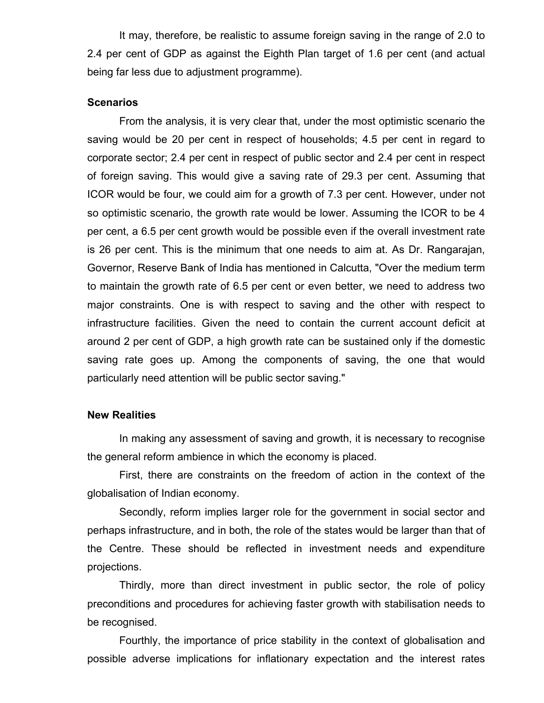It may, therefore, be realistic to assume foreign saving in the range of 2.0 to 2.4 per cent of GDP as against the Eighth Plan target of 1.6 per cent (and actual being far less due to adjustment programme).

# **Scenarios**

From the analysis, it is very clear that, under the most optimistic scenario the saving would be 20 per cent in respect of households; 4.5 per cent in regard to corporate sector; 2.4 per cent in respect of public sector and 2.4 per cent in respect of foreign saving. This would give a saving rate of 29.3 per cent. Assuming that ICOR would be four, we could aim for a growth of 7.3 per cent. However, under not so optimistic scenario, the growth rate would be lower. Assuming the ICOR to be 4 per cent, a 6.5 per cent growth would be possible even if the overall investment rate is 26 per cent. This is the minimum that one needs to aim at. As Dr. Rangarajan, Governor, Reserve Bank of India has mentioned in Calcutta, "Over the medium term to maintain the growth rate of 6.5 per cent or even better, we need to address two major constraints. One is with respect to saving and the other with respect to infrastructure facilities. Given the need to contain the current account deficit at around 2 per cent of GDP, a high growth rate can be sustained only if the domestic saving rate goes up. Among the components of saving, the one that would particularly need attention will be public sector saving."

### New Realities

In making any assessment of saving and growth, it is necessary to recognise the general reform ambience in which the economy is placed.

First, there are constraints on the freedom of action in the context of the globalisation of Indian economy.

Secondly, reform implies larger role for the government in social sector and perhaps infrastructure, and in both, the role of the states would be larger than that of the Centre. These should be reflected in investment needs and expenditure projections.

Thirdly, more than direct investment in public sector, the role of policy preconditions and procedures for achieving faster growth with stabilisation needs to be recognised.

Fourthly, the importance of price stability in the context of globalisation and possible adverse implications for inflationary expectation and the interest rates